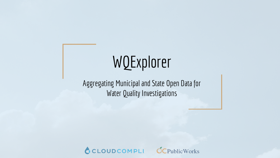# WQExplorer

Aggregating Municipal and State Open Data for Water Quality Investigations



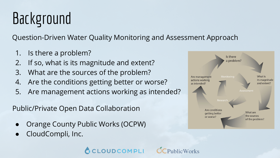# Background

Question-Driven Water Quality Monitoring and Assessment Approach

- 1. Is there a problem?
- 2. If so, what is its magnitude and extent?
- 3. What are the sources of the problem?
- 4. Are the conditions getting better or worse?
- 5. Are management actions working as intended?

CCLOUDCOMPLI

Public/Private Open Data Collaboration

- Orange County Public Works (OCPW)
- CloudCompli, Inc.



 $\text{hlicW}$ orke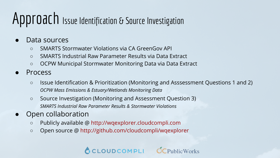## Approach Issue Identification & Source Investigation

- Data sources
	- SMARTS Stormwater Violations via CA GreenGov API
	- SMARTS Industrial Raw Parameter Results via Data Extract
	- OCPW Municipal Stormwater Monitoring Data via Data Extract
- **Process** 
	- Issue Identification & Prioritization (Monitoring and Asssessment Questions 1 and 2) *OCPW Mass Emissions & Estuary/Wetlands Monitoring Data*
	- Source Investigation (Monitoring and Assessment Question 3) *SMARTS Industrial Raw Parameter Results & Stormwater Violations*
- Open collaboration
	- Publicly available @ http://wqexplorer.cloudcompli.com
	- Open source @ http://github.com/cloudcompli/wqexplorer



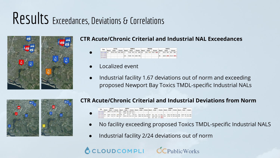## Results Exceedances, Deviations & Correlations



### **CTR Acute/Chronic Criterial and Industrial NAL Exceedances**



- Localized event
- Industrial facility 1.67 deviations out of norm and exceeding proposed Newport Bay Toxics TMDL-specific Industrial NALs



#### **CTR Acute/Chronic Criterial and Industrial Deviations from Norm**

- $\begin{array}{c|c} 2014 \overline{\smash{\big)}\ 2014 \overline{\smash{\big)}\ 2014 \overline{\smash{\big)}}}} \\ \hline \end{array}$ 54 1% 2.1 13% 0.2 82.12 0% 3.2 6% 0.67 30.1 2% 1.17 57% 0.2<br>315.78 0% 12.31 2% 0.24 99.93 0% 3.89 6% 8.5 36.83 23% 1.44 592% 0.42
- No facility exceeding proposed Toxics TMDL-specific Industrial NALS
- Industrial facility 2/24 deviations out of norm

### CCLOUDCOMPLI OCPublicWorks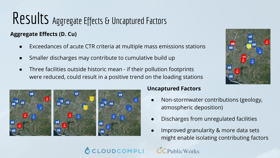## Results Aggregate Effects & Uncaptured Factors

### **Aggregate Effects (D. Cu)**

- Exceedances of acute CTR criteria at multiple mass emissions stations
- Smaller discharges may contribute to cumulative build up
- Three facilities outside historic mean if their pollution footprints were reduced, could result in a positive trend on the loading stations



#### **Uncaptured Factors**

- Non-stormwater contributions (geology, atmospheric deposition)
- Discharges from unregulated facilities
- Improved granularity & more data sets might enable isolating contributing factors

### OUDCOMPLI